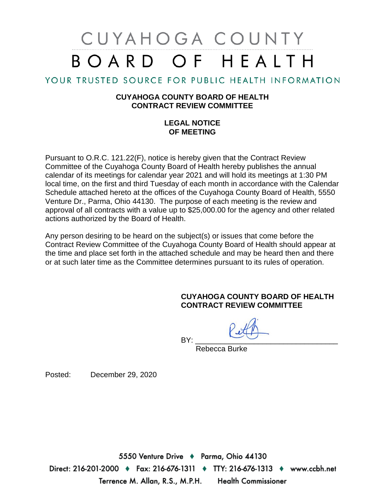# CUYAHOGA COUNTY BOARD OF HEALTH

### YOUR TRUSTED SOURCE FOR PUBLIC HEALTH INFORMATION

### **CUYAHOGA COUNTY BOARD OF HEALTH CONTRACT REVIEW COMMITTEE**

### **LEGAL NOTICE OF MEETING**

Pursuant to O.R.C. 121.22(F), notice is hereby given that the Contract Review Committee of the Cuyahoga County Board of Health hereby publishes the annual calendar of its meetings for calendar year 2021 and will hold its meetings at 1:30 PM local time, on the first and third Tuesday of each month in accordance with the Calendar Schedule attached hereto at the offices of the Cuyahoga County Board of Health, 5550 Venture Dr., Parma, Ohio 44130. The purpose of each meeting is the review and approval of all contracts with a value up to \$25,000.00 for the agency and other related actions authorized by the Board of Health.

Any person desiring to be heard on the subject(s) or issues that come before the Contract Review Committee of the Cuyahoga County Board of Health should appear at the time and place set forth in the attached schedule and may be heard then and there or at such later time as the Committee determines pursuant to its rules of operation.

### **CUYAHOGA COUNTY BOARD OF HEALTH CONTRACT REVIEW COMMITTEE**

BY: \_\_\_\_\_\_\_\_\_\_\_\_\_\_\_\_\_\_\_\_\_\_\_\_\_\_\_\_\_\_\_\_\_\_ Rebecca Burke

Posted: December 29, 2020

5550 Venture Drive + Parma, Ohio 44130 Direct: 216-201-2000 ♦ Fax: 216-676-1311 ♦ TTY: 216-676-1313 ♦ www.ccbh.net Terrence M. Allan, R.S., M.P.H. **Health Commissioner**